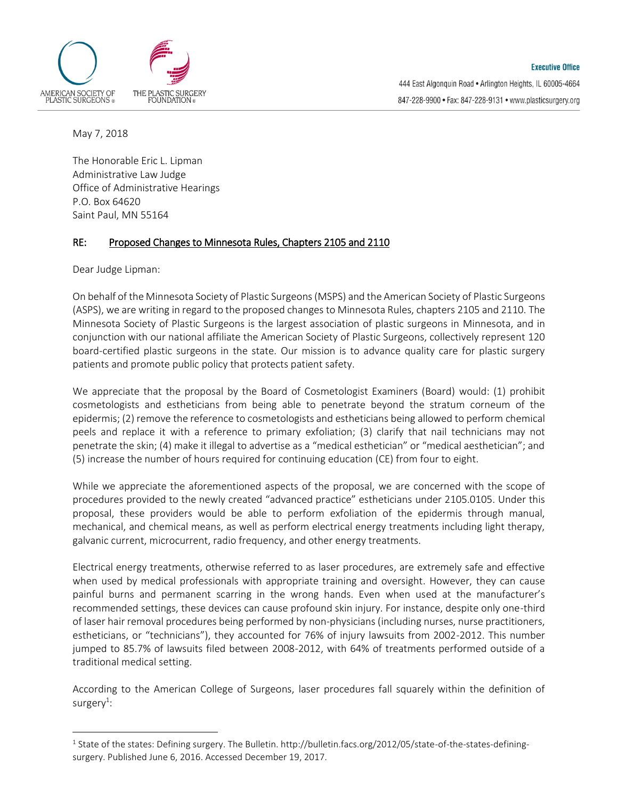

May 7, 2018

The Honorable Eric L. Lipman Administrative Law Judge Office of Administrative Hearings P.O. Box 64620 Saint Paul, MN 55164

## RE: Proposed Changes to Minnesota Rules, Chapters 2105 and 2110

Dear Judge Lipman:

 $\overline{a}$ 

On behalf of the Minnesota Society of Plastic Surgeons (MSPS) and the American Society of Plastic Surgeons (ASPS), we are writing in regard to the proposed changes to Minnesota Rules, chapters 2105 and 2110. The Minnesota Society of Plastic Surgeons is the largest association of plastic surgeons in Minnesota, and in conjunction with our national affiliate the American Society of Plastic Surgeons, collectively represent 120 board-certified plastic surgeons in the state. Our mission is to advance quality care for plastic surgery patients and promote public policy that protects patient safety.

We appreciate that the proposal by the Board of Cosmetologist Examiners (Board) would: (1) prohibit cosmetologists and estheticians from being able to penetrate beyond the stratum corneum of the epidermis; (2) remove the reference to cosmetologists and estheticians being allowed to perform chemical peels and replace it with a reference to primary exfoliation; (3) clarify that nail technicians may not penetrate the skin; (4) make it illegal to advertise as a "medical esthetician" or "medical aesthetician"; and (5) increase the number of hours required for continuing education (CE) from four to eight.

While we appreciate the aforementioned aspects of the proposal, we are concerned with the scope of procedures provided to the newly created "advanced practice" estheticians under 2105.0105. Under this proposal, these providers would be able to perform exfoliation of the epidermis through manual, mechanical, and chemical means, as well as perform electrical energy treatments including light therapy, galvanic current, microcurrent, radio frequency, and other energy treatments.

Electrical energy treatments, otherwise referred to as laser procedures, are extremely safe and effective when used by medical professionals with appropriate training and oversight. However, they can cause painful burns and permanent scarring in the wrong hands. Even when used at the manufacturer's recommended settings, these devices can cause profound skin injury. For instance, despite only one-third of laser hair removal procedures being performed by non-physicians (including nurses, nurse practitioners, estheticians, or "technicians"), they accounted for 76% of injury lawsuits from 2002-2012. This number jumped to 85.7% of lawsuits filed between 2008-2012, with 64% of treatments performed outside of a traditional medical setting.

According to the American College of Surgeons, laser procedures fall squarely within the definition of surgery $^1$ :

 $^1$  State of the states: Defining surgery. The Bulletin. http://bulletin.facs.org/2012/05/state-of-the-states-definingsurgery. Published June 6, 2016. Accessed December 19, 2017.